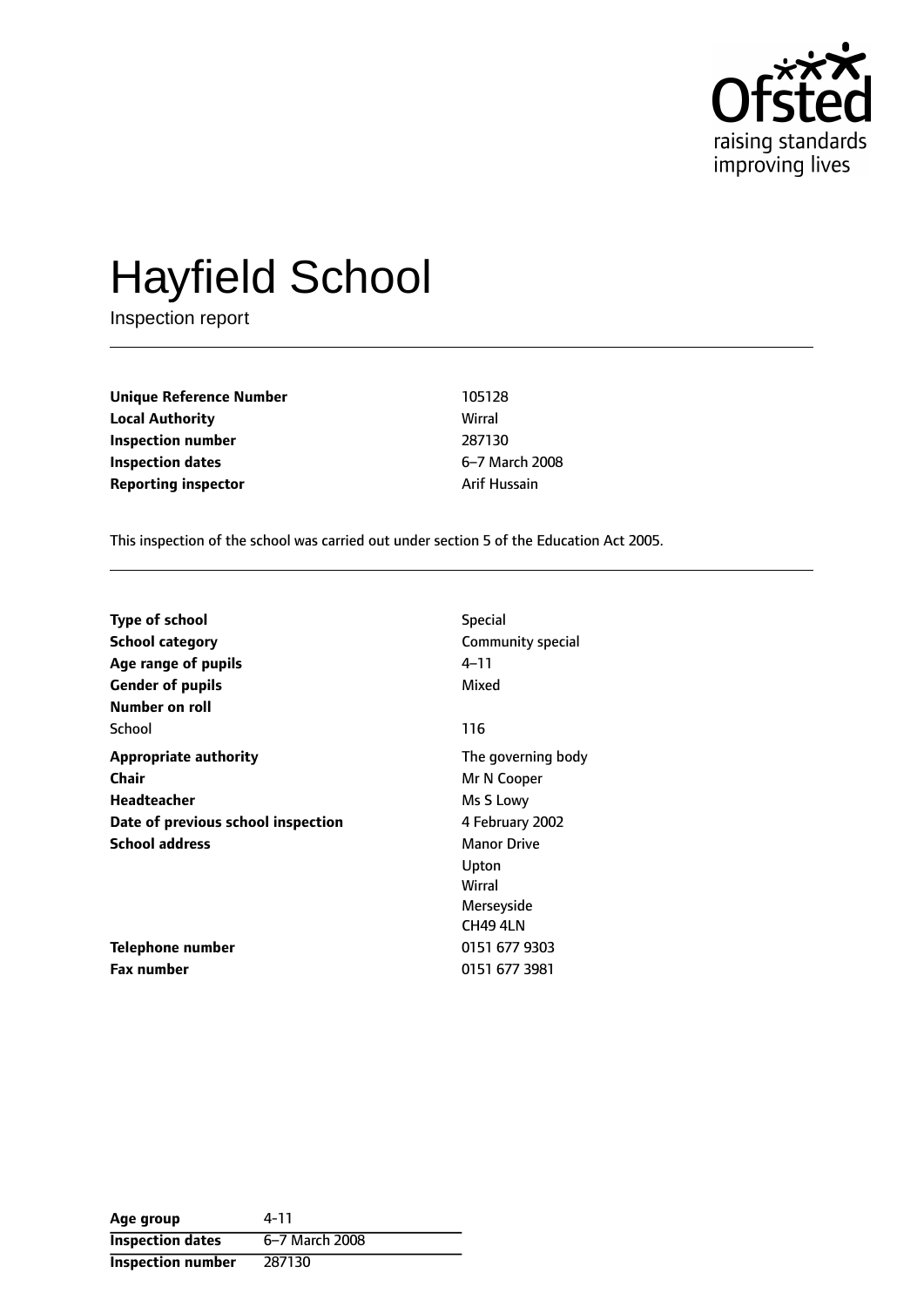

# Hayfield School

Inspection report

**Unique Reference Number** 105128 **Local Authority** Wirral **Inspection number** 287130 **Inspection dates** 6-7 March 2008 **Reporting inspector Arif Hussain** 

This inspection of the school was carried out under section 5 of the Education Act 2005.

| <b>Type of school</b>              | <b>Special</b>     |
|------------------------------------|--------------------|
| <b>School category</b>             | Community special  |
| Age range of pupils                | 4–11               |
| <b>Gender of pupils</b>            | Mixed              |
| Number on roll                     |                    |
| School                             | 116                |
| <b>Appropriate authority</b>       | The governing body |
| Chair                              | Mr N Cooper        |
| <b>Headteacher</b>                 | Ms S Lowy          |
| Date of previous school inspection | 4 February 2002    |
| <b>School address</b>              | <b>Manor Drive</b> |
|                                    | Upton              |
|                                    | Wirral             |
|                                    | Merseyside         |
|                                    | CH49 4LN           |
| Telephone number                   | 0151 677 9303      |
| <b>Fax number</b>                  | 0151 677 3981      |

| Age group                | 4-11           |
|--------------------------|----------------|
| <b>Inspection dates</b>  | 6-7 March 2008 |
| <b>Inspection number</b> | 287130         |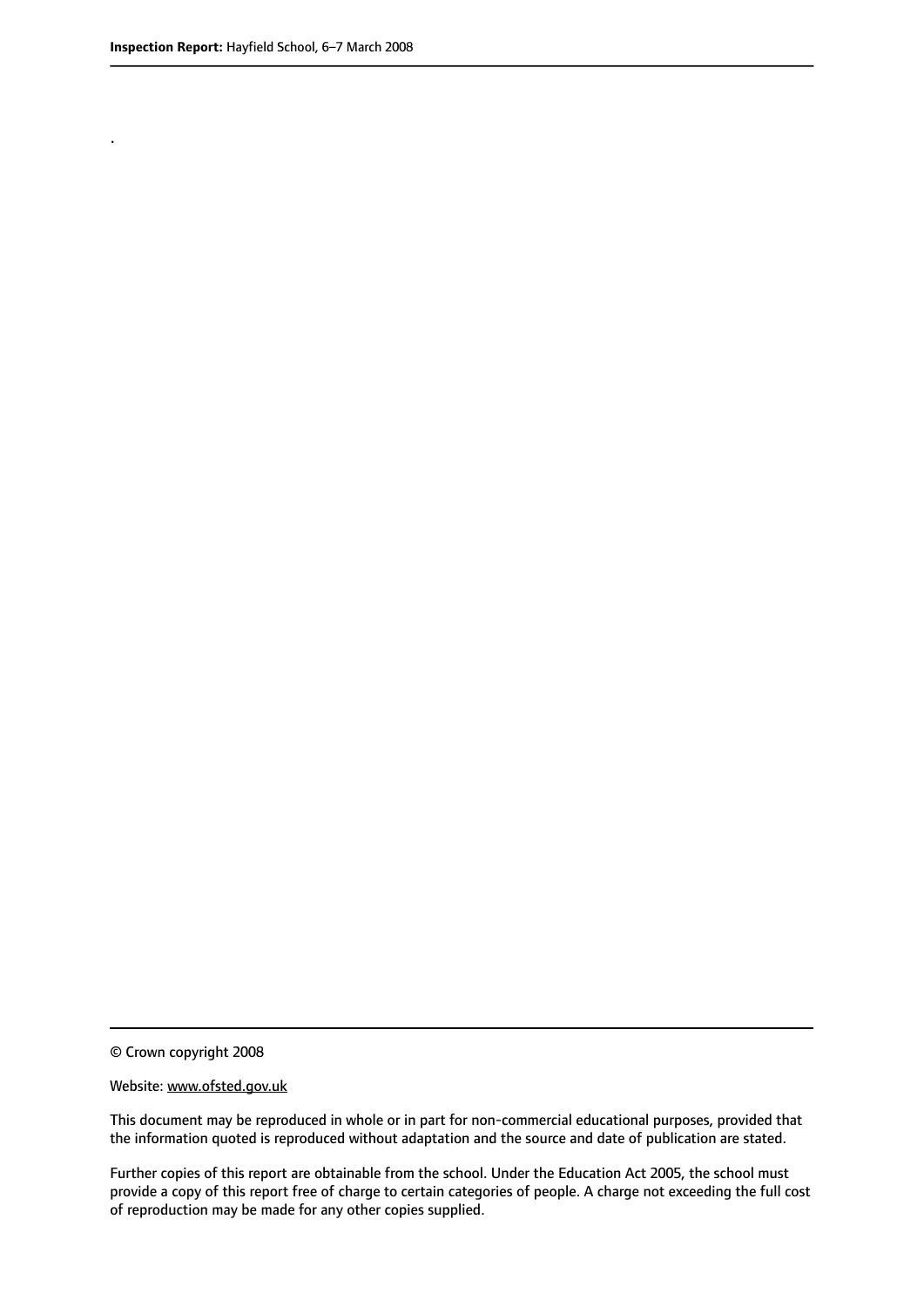.

© Crown copyright 2008

#### Website: www.ofsted.gov.uk

This document may be reproduced in whole or in part for non-commercial educational purposes, provided that the information quoted is reproduced without adaptation and the source and date of publication are stated.

Further copies of this report are obtainable from the school. Under the Education Act 2005, the school must provide a copy of this report free of charge to certain categories of people. A charge not exceeding the full cost of reproduction may be made for any other copies supplied.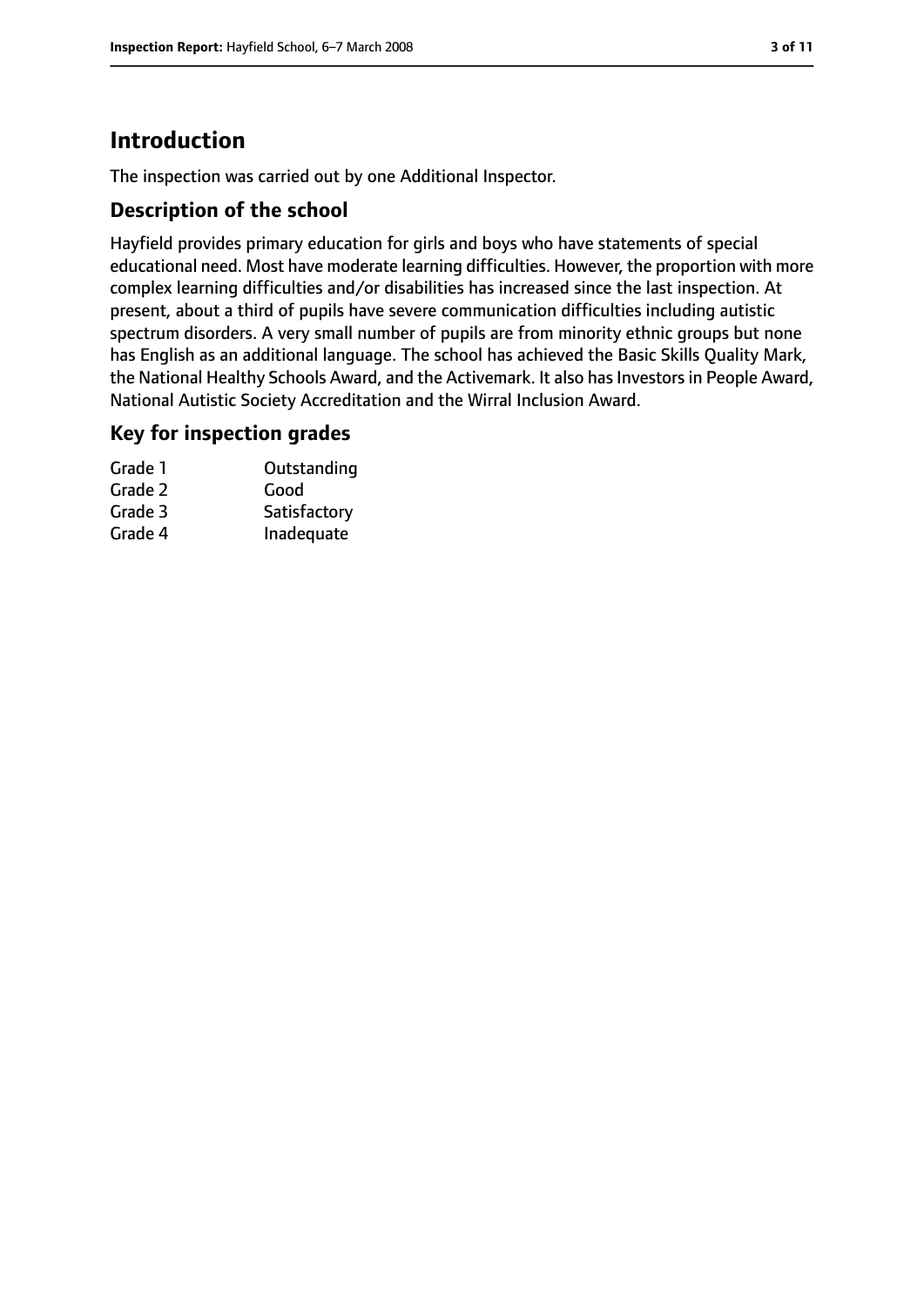# **Introduction**

The inspection was carried out by one Additional Inspector.

## **Description of the school**

Hayfield provides primary education for girls and boys who have statements of special educational need. Most have moderate learning difficulties. However, the proportion with more complex learning difficulties and/or disabilities has increased since the last inspection. At present, about a third of pupils have severe communication difficulties including autistic spectrum disorders. A very small number of pupils are from minority ethnic groups but none has English as an additional language. The school has achieved the Basic Skills Quality Mark, the National Healthy Schools Award, and the Activemark. It also has Investors in People Award, National Autistic Society Accreditation and the Wirral Inclusion Award.

#### **Key for inspection grades**

| Grade 1 | Outstanding  |
|---------|--------------|
| Grade 2 | Good         |
| Grade 3 | Satisfactory |
| Grade 4 | Inadequate   |
|         |              |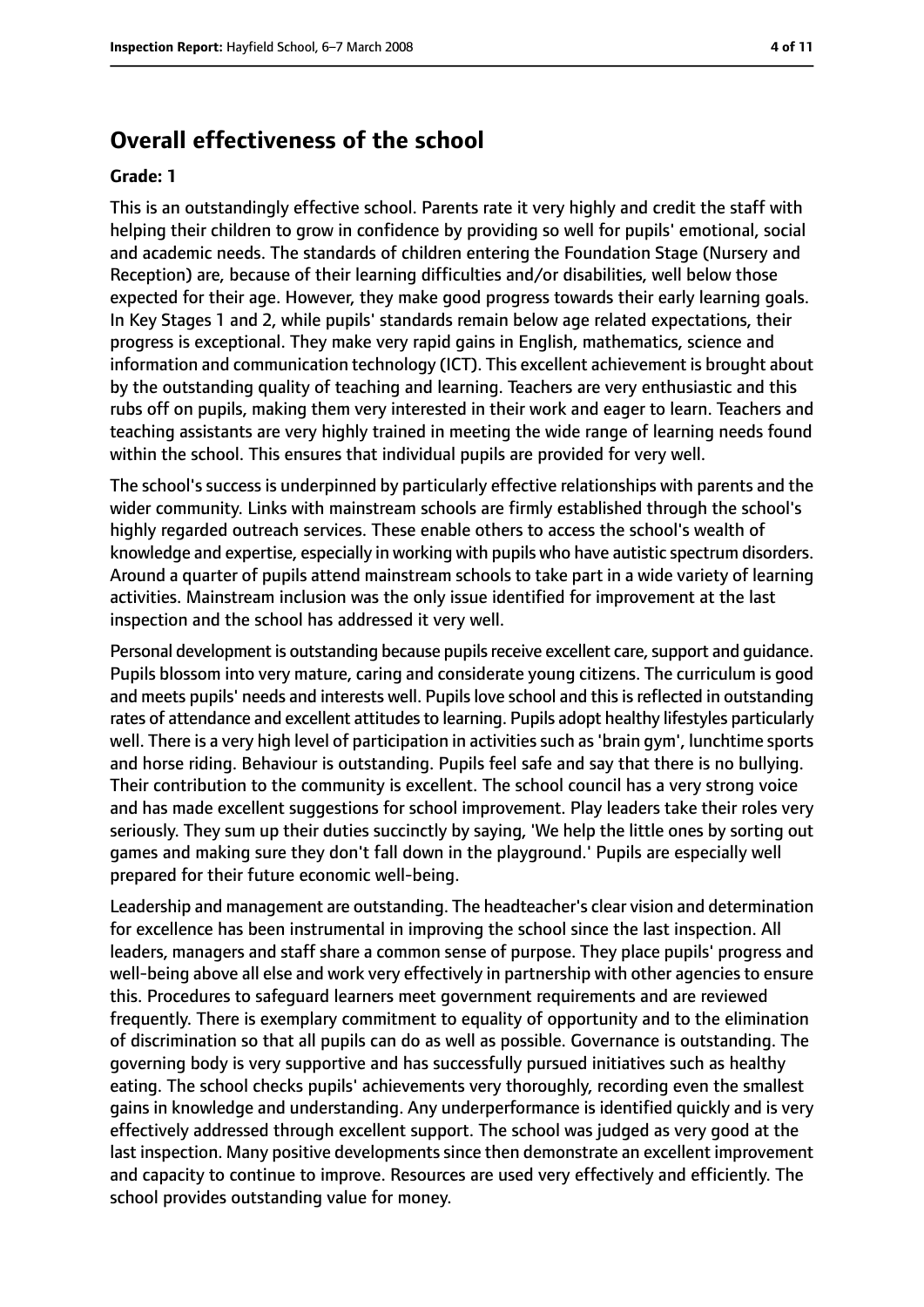# **Overall effectiveness of the school**

#### **Grade: 1**

This is an outstandingly effective school. Parents rate it very highly and credit the staff with helping their children to grow in confidence by providing so well for pupils' emotional, social and academic needs. The standards of children entering the Foundation Stage (Nursery and Reception) are, because of their learning difficulties and/or disabilities, well below those expected for their age. However, they make good progress towards their early learning goals. In Key Stages 1 and 2, while pupils' standards remain below age related expectations, their progress is exceptional. They make very rapid gains in English, mathematics, science and information and communication technology (ICT). This excellent achievement is brought about by the outstanding quality of teaching and learning. Teachers are very enthusiastic and this rubs off on pupils, making them very interested in their work and eager to learn. Teachers and teaching assistants are very highly trained in meeting the wide range of learning needs found within the school. This ensures that individual pupils are provided for very well.

The school's success is underpinned by particularly effective relationships with parents and the wider community. Links with mainstream schools are firmly established through the school's highly regarded outreach services. These enable others to access the school's wealth of knowledge and expertise, especially in working with pupils who have autistic spectrum disorders. Around a quarter of pupils attend mainstream schools to take part in a wide variety of learning activities. Mainstream inclusion was the only issue identified for improvement at the last inspection and the school has addressed it very well.

Personal development is outstanding because pupils receive excellent care, support and quidance. Pupils blossom into very mature, caring and considerate young citizens. The curriculum is good and meets pupils' needs and interests well. Pupils love school and this is reflected in outstanding rates of attendance and excellent attitudes to learning. Pupils adopt healthy lifestyles particularly well. There is a very high level of participation in activities such as 'brain gym', lunchtime sports and horse riding. Behaviour is outstanding. Pupils feel safe and say that there is no bullying. Their contribution to the community is excellent. The school council has a very strong voice and has made excellent suggestions for school improvement. Play leaders take their roles very seriously. They sum up their duties succinctly by saying, 'We help the little ones by sorting out games and making sure they don't fall down in the playground.' Pupils are especially well prepared for their future economic well-being.

Leadership and management are outstanding. The headteacher's clear vision and determination for excellence has been instrumental in improving the school since the last inspection. All leaders, managers and staff share a common sense of purpose. They place pupils' progress and well-being above all else and work very effectively in partnership with other agencies to ensure this. Procedures to safeguard learners meet government requirements and are reviewed frequently. There is exemplary commitment to equality of opportunity and to the elimination of discrimination so that all pupils can do as well as possible. Governance is outstanding. The governing body is very supportive and has successfully pursued initiatives such as healthy eating. The school checks pupils' achievements very thoroughly, recording even the smallest gains in knowledge and understanding. Any underperformance is identified quickly and is very effectively addressed through excellent support. The school was judged as very good at the last inspection. Many positive developments since then demonstrate an excellent improvement and capacity to continue to improve. Resources are used very effectively and efficiently. The school provides outstanding value for money.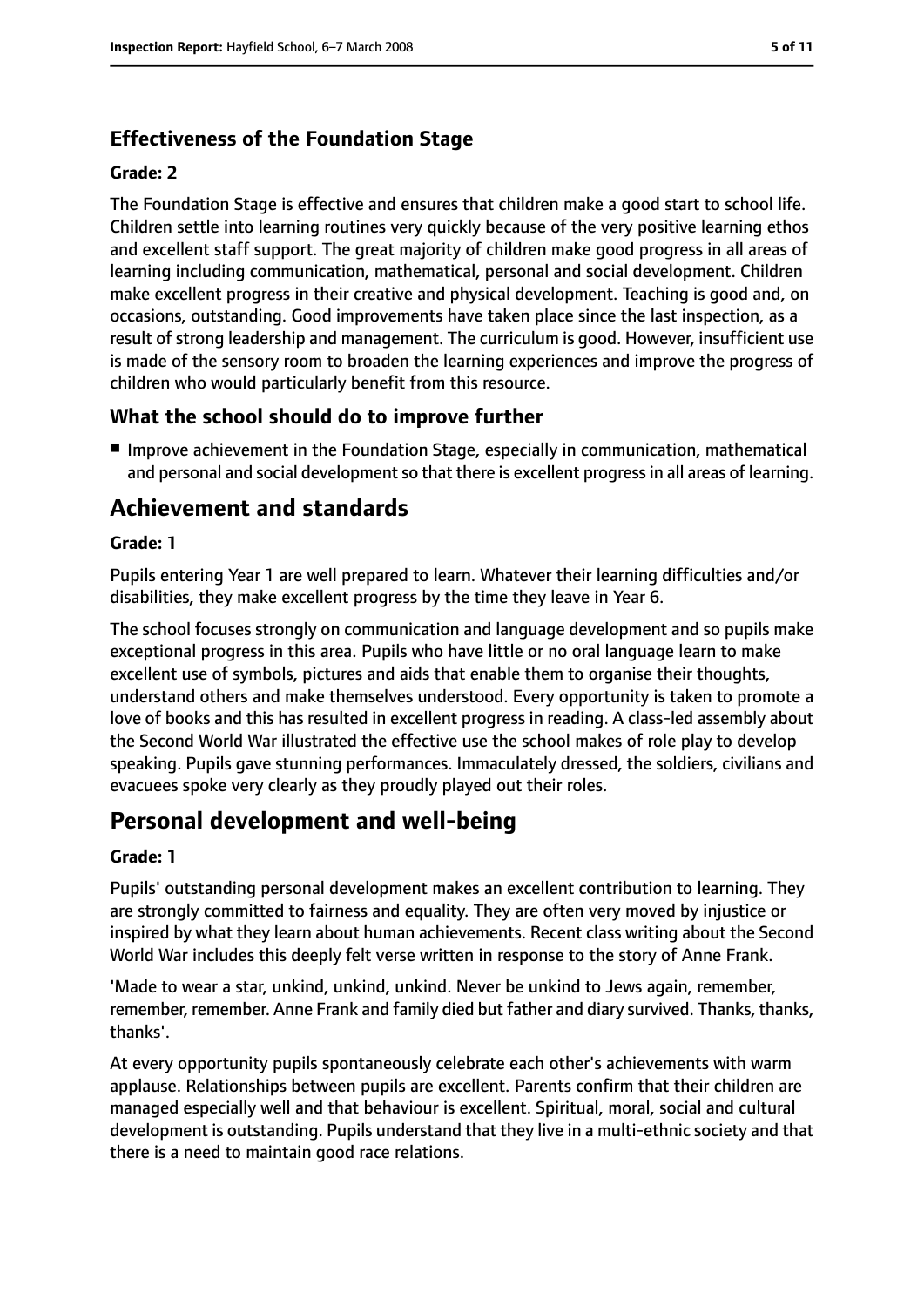## **Effectiveness of the Foundation Stage**

#### **Grade: 2**

The Foundation Stage is effective and ensures that children make a good start to school life. Children settle into learning routines very quickly because of the very positive learning ethos and excellent staff support. The great majority of children make good progress in all areas of learning including communication, mathematical, personal and social development. Children make excellent progress in their creative and physical development. Teaching is good and, on occasions, outstanding. Good improvements have taken place since the last inspection, as a result of strong leadership and management. The curriculum is good. However, insufficient use is made of the sensory room to broaden the learning experiences and improve the progress of children who would particularly benefit from this resource.

## **What the school should do to improve further**

■ Improve achievement in the Foundation Stage, especially in communication, mathematical and personal and social development so that there is excellent progress in all areas of learning.

# **Achievement and standards**

#### **Grade: 1**

Pupils entering Year 1 are well prepared to learn. Whatever their learning difficulties and/or disabilities, they make excellent progress by the time they leave in Year 6.

The school focuses strongly on communication and language development and so pupils make exceptional progress in this area. Pupils who have little or no oral language learn to make excellent use of symbols, pictures and aids that enable them to organise their thoughts, understand others and make themselves understood. Every opportunity is taken to promote a love of books and this has resulted in excellent progress in reading. A class-led assembly about the Second World War illustrated the effective use the school makes of role play to develop speaking. Pupils gave stunning performances. Immaculately dressed, the soldiers, civilians and evacuees spoke very clearly as they proudly played out their roles.

# **Personal development and well-being**

#### **Grade: 1**

Pupils' outstanding personal development makes an excellent contribution to learning. They are strongly committed to fairness and equality. They are often very moved by injustice or inspired by what they learn about human achievements. Recent class writing about the Second World War includes this deeply felt verse written in response to the story of Anne Frank.

'Made to wear a star, unkind, unkind, unkind. Never be unkind to Jews again, remember, remember, remember. Anne Frank and family died but father and diary survived. Thanks, thanks, thanks'.

At every opportunity pupils spontaneously celebrate each other's achievements with warm applause. Relationships between pupils are excellent. Parents confirm that their children are managed especially well and that behaviour is excellent. Spiritual, moral, social and cultural development is outstanding. Pupils understand that they live in a multi-ethnic society and that there is a need to maintain good race relations.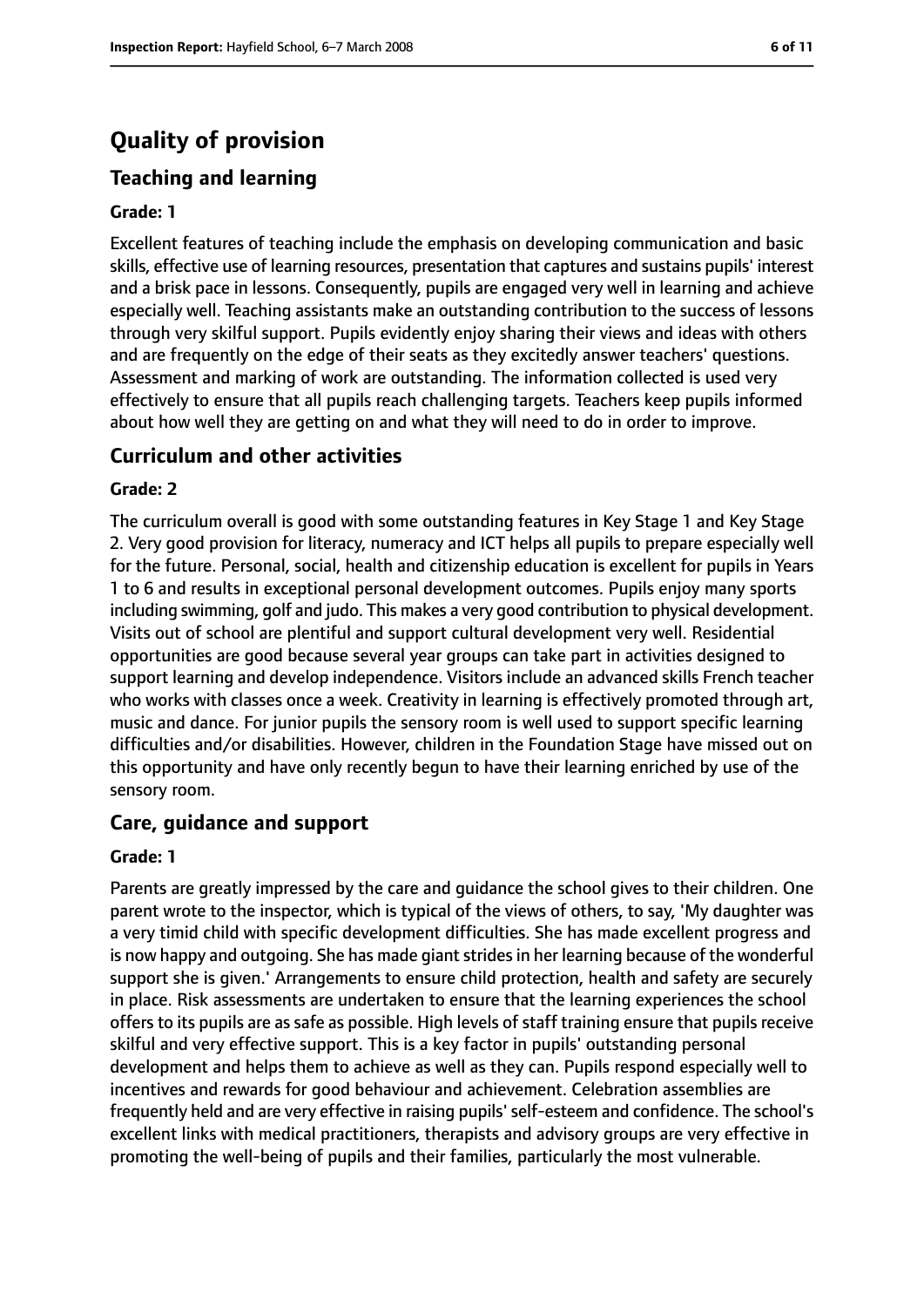# **Quality of provision**

## **Teaching and learning**

#### **Grade: 1**

Excellent features of teaching include the emphasis on developing communication and basic skills, effective use of learning resources, presentation that captures and sustains pupils' interest and a brisk pace in lessons. Consequently, pupils are engaged very well in learning and achieve especially well. Teaching assistants make an outstanding contribution to the success of lessons through very skilful support. Pupils evidently enjoy sharing their views and ideas with others and are frequently on the edge of their seats as they excitedly answer teachers' questions. Assessment and marking of work are outstanding. The information collected is used very effectively to ensure that all pupils reach challenging targets. Teachers keep pupils informed about how well they are getting on and what they will need to do in order to improve.

#### **Curriculum and other activities**

#### **Grade: 2**

The curriculum overall is good with some outstanding features in Key Stage 1 and Key Stage 2. Very good provision for literacy, numeracy and ICT helps all pupils to prepare especially well for the future. Personal, social, health and citizenship education is excellent for pupils in Years 1 to 6 and results in exceptional personal development outcomes. Pupils enjoy many sports including swimming, golf and judo. This makes a very good contribution to physical development. Visits out of school are plentiful and support cultural development very well. Residential opportunities are good because several year groups can take part in activities designed to support learning and develop independence. Visitors include an advanced skills French teacher who works with classes once a week. Creativity in learning is effectively promoted through art, music and dance. For junior pupils the sensory room is well used to support specific learning difficulties and/or disabilities. However, children in the Foundation Stage have missed out on this opportunity and have only recently begun to have their learning enriched by use of the sensory room.

#### **Care, guidance and support**

#### **Grade: 1**

Parents are greatly impressed by the care and guidance the school gives to their children. One parent wrote to the inspector, which is typical of the views of others, to say, 'My daughter was a very timid child with specific development difficulties. She has made excellent progress and is now happy and outgoing. She has made giant strides in her learning because of the wonderful support she is given.' Arrangements to ensure child protection, health and safety are securely in place. Risk assessments are undertaken to ensure that the learning experiences the school offers to its pupils are as safe as possible. High levels of staff training ensure that pupils receive skilful and very effective support. This is a key factor in pupils' outstanding personal development and helps them to achieve as well as they can. Pupils respond especially well to incentives and rewards for good behaviour and achievement. Celebration assemblies are frequently held and are very effective in raising pupils'self-esteem and confidence. The school's excellent links with medical practitioners, therapists and advisory groups are very effective in promoting the well-being of pupils and their families, particularly the most vulnerable.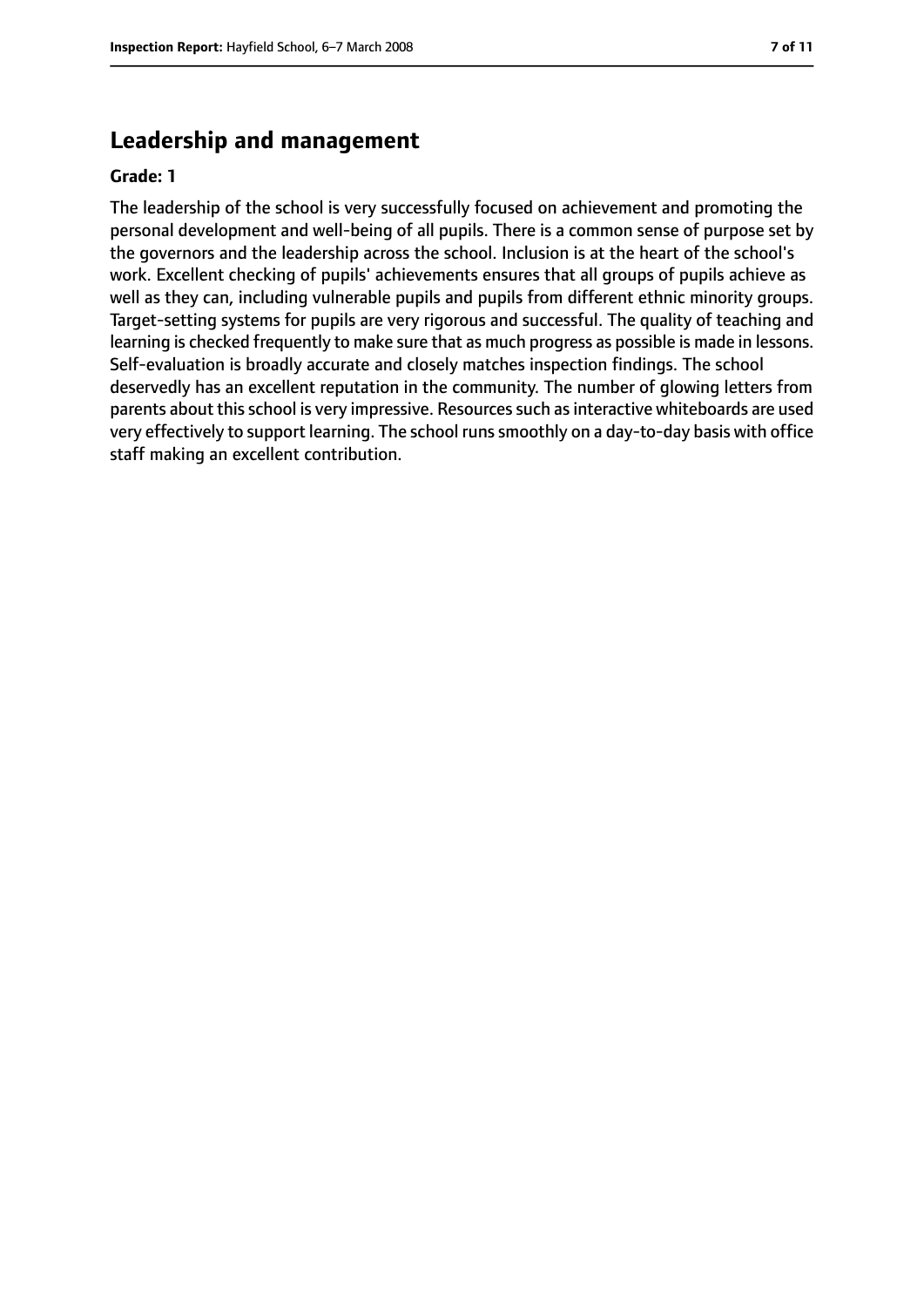# **Leadership and management**

#### **Grade: 1**

The leadership of the school is very successfully focused on achievement and promoting the personal development and well-being of all pupils. There is a common sense of purpose set by the governors and the leadership across the school. Inclusion is at the heart of the school's work. Excellent checking of pupils' achievements ensures that all groups of pupils achieve as well as they can, including vulnerable pupils and pupils from different ethnic minority groups. Target-setting systems for pupils are very rigorous and successful. The quality of teaching and learning is checked frequently to make sure that as much progress as possible is made in lessons. Self-evaluation is broadly accurate and closely matches inspection findings. The school deservedly has an excellent reputation in the community. The number of glowing letters from parents about this school is very impressive. Resources such as interactive whiteboards are used very effectively to support learning. The school runssmoothly on a day-to-day basis with office staff making an excellent contribution.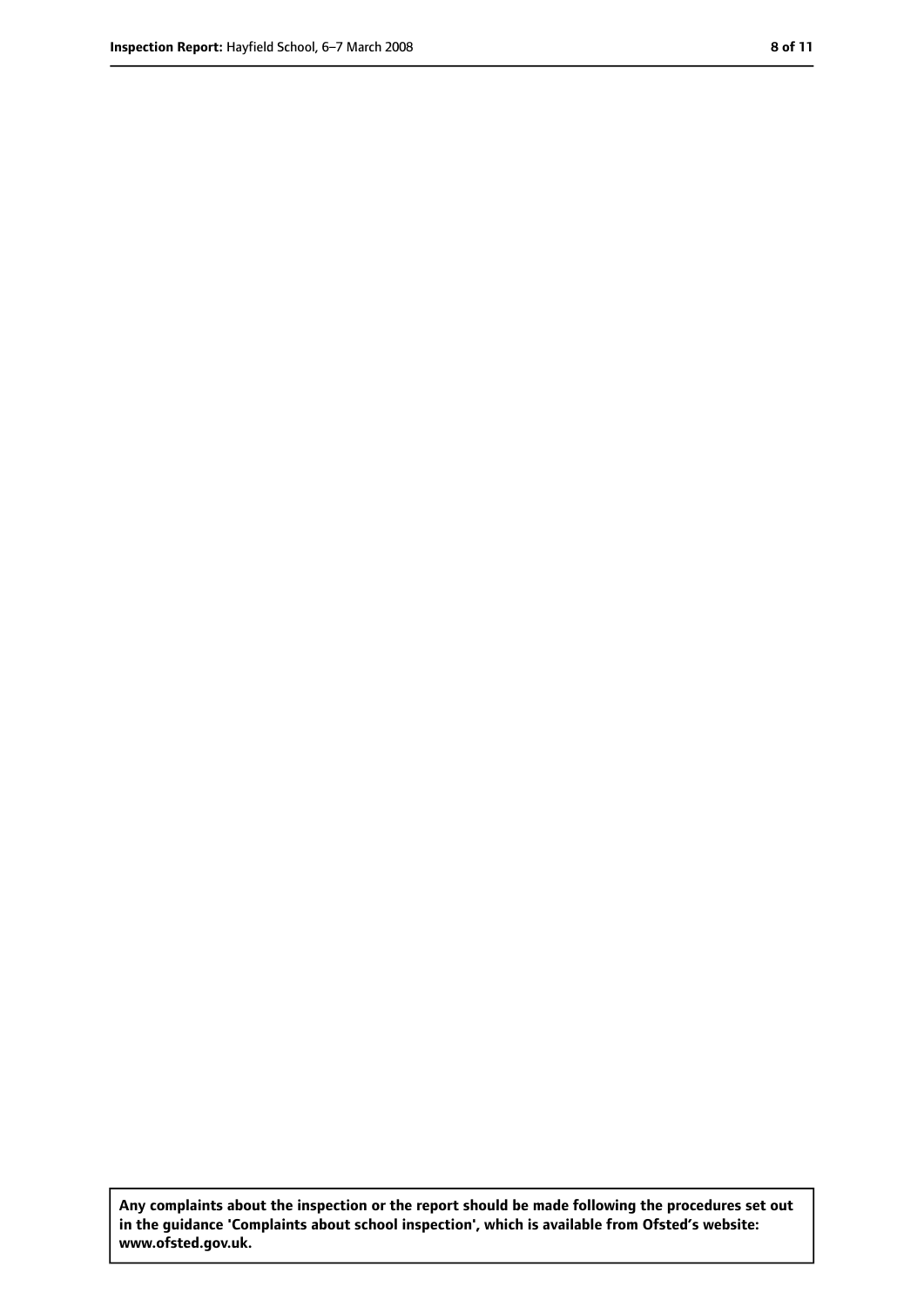**Any complaints about the inspection or the report should be made following the procedures set out in the guidance 'Complaints about school inspection', which is available from Ofsted's website: www.ofsted.gov.uk.**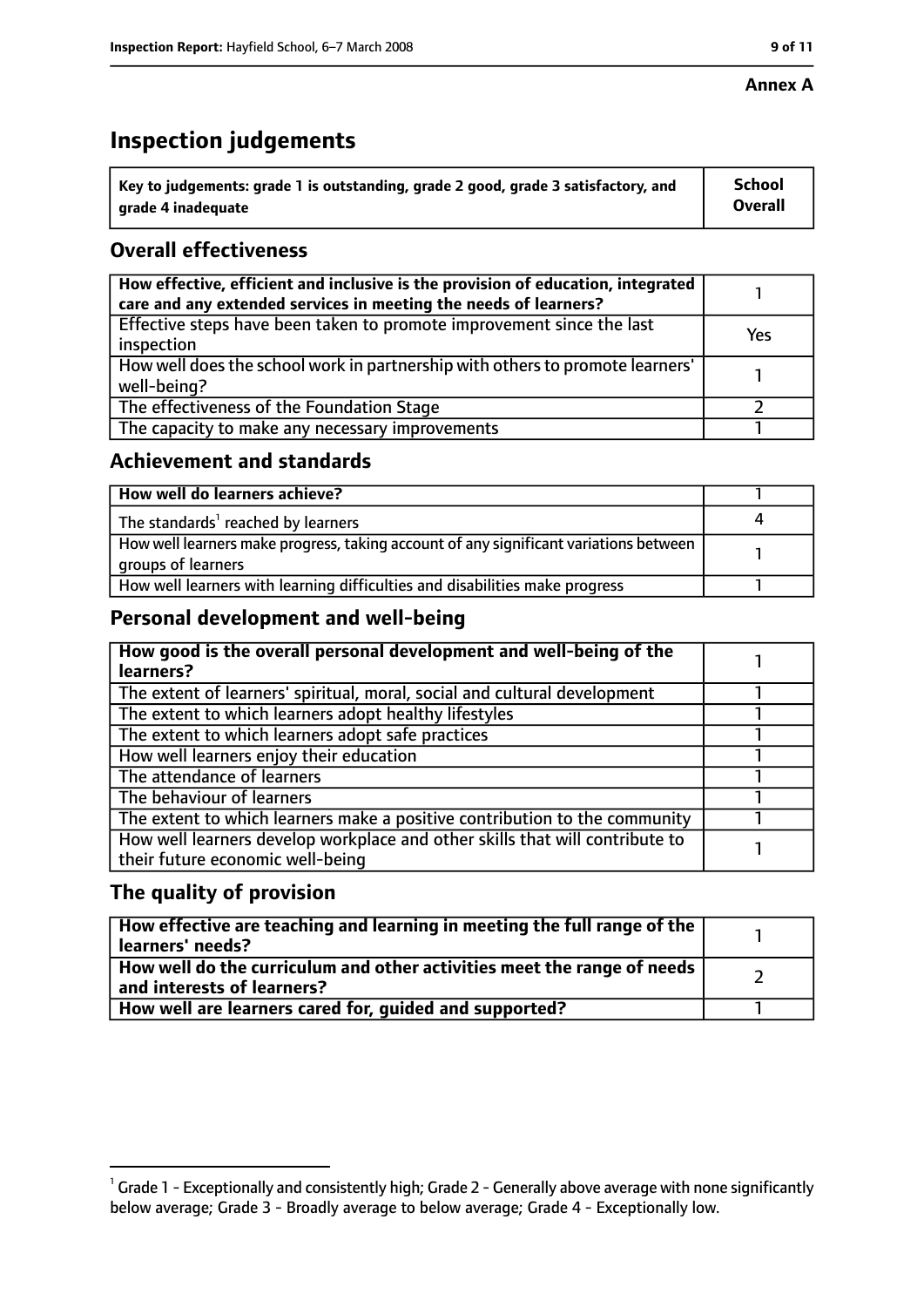#### **Annex A**

# **Inspection judgements**

| $^{\circ}$ Key to judgements: grade 1 is outstanding, grade 2 good, grade 3 satisfactory, and | School         |
|-----------------------------------------------------------------------------------------------|----------------|
| arade 4 inadequate                                                                            | <b>Overall</b> |

# **Overall effectiveness**

| How effective, efficient and inclusive is the provision of education, integrated<br>care and any extended services in meeting the needs of learners? |     |
|------------------------------------------------------------------------------------------------------------------------------------------------------|-----|
| Effective steps have been taken to promote improvement since the last<br>inspection                                                                  | Yes |
| How well does the school work in partnership with others to promote learners'<br>well-being?                                                         |     |
| The effectiveness of the Foundation Stage                                                                                                            |     |
| The capacity to make any necessary improvements                                                                                                      |     |

## **Achievement and standards**

| How well do learners achieve?                                                                               |  |
|-------------------------------------------------------------------------------------------------------------|--|
| $\mathsf I$ The standards <sup>1</sup> reached by learners                                                  |  |
| How well learners make progress, taking account of any significant variations between<br>groups of learners |  |
| How well learners with learning difficulties and disabilities make progress                                 |  |

## **Personal development and well-being**

| How good is the overall personal development and well-being of the<br>learners?                                  |  |
|------------------------------------------------------------------------------------------------------------------|--|
| The extent of learners' spiritual, moral, social and cultural development                                        |  |
| The extent to which learners adopt healthy lifestyles                                                            |  |
| The extent to which learners adopt safe practices                                                                |  |
| How well learners enjoy their education                                                                          |  |
| The attendance of learners                                                                                       |  |
| The behaviour of learners                                                                                        |  |
| The extent to which learners make a positive contribution to the community                                       |  |
| How well learners develop workplace and other skills that will contribute to<br>their future economic well-being |  |

## **The quality of provision**

| How effective are teaching and learning in meeting the full range of the<br>learners' needs?          |  |
|-------------------------------------------------------------------------------------------------------|--|
| How well do the curriculum and other activities meet the range of needs<br>and interests of learners? |  |
| How well are learners cared for, quided and supported?                                                |  |

 $^1$  Grade 1 - Exceptionally and consistently high; Grade 2 - Generally above average with none significantly below average; Grade 3 - Broadly average to below average; Grade 4 - Exceptionally low.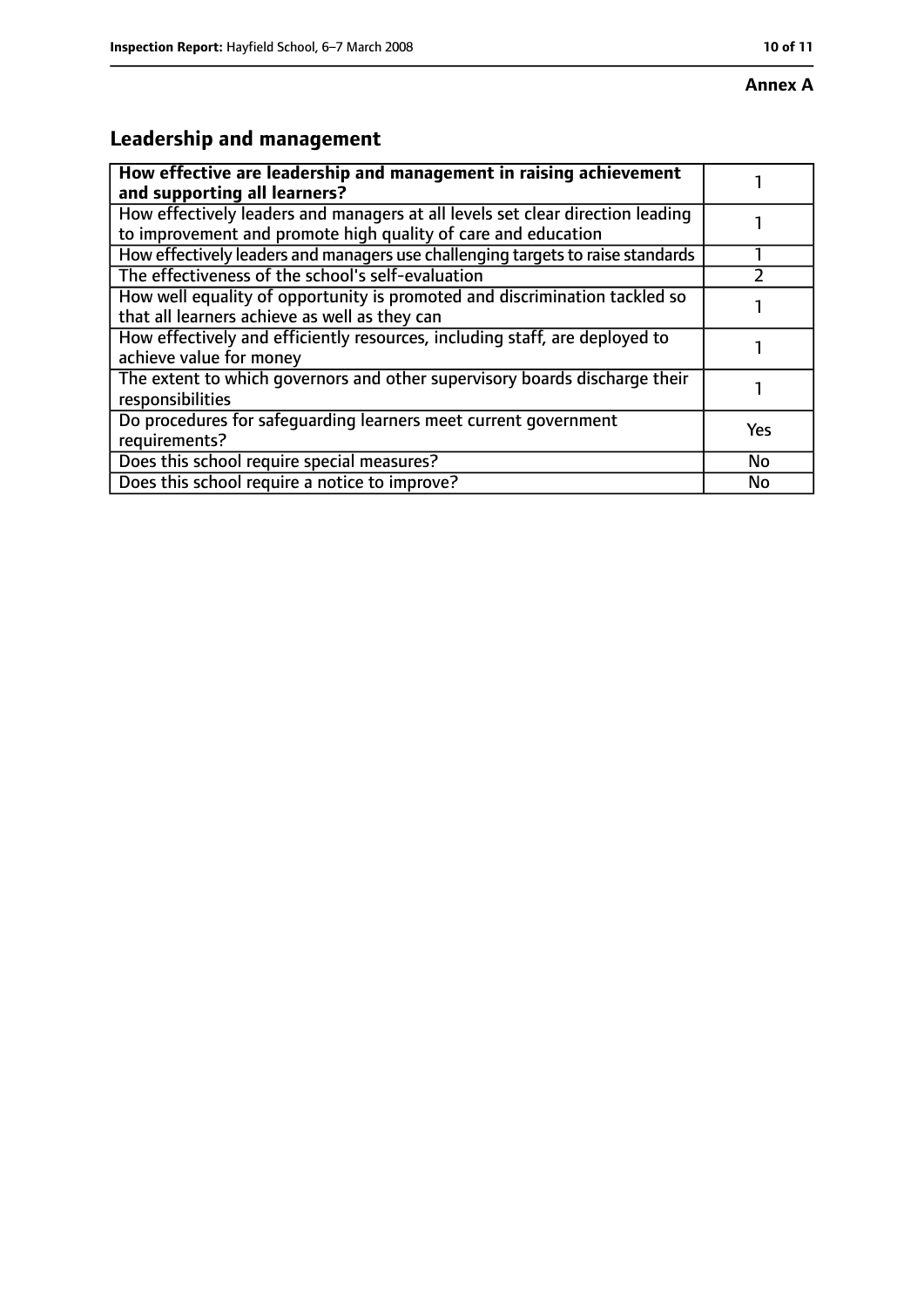# **Annex A**

# **Leadership and management**

| How effective are leadership and management in raising achievement<br>and supporting all learners?                                              |     |
|-------------------------------------------------------------------------------------------------------------------------------------------------|-----|
| How effectively leaders and managers at all levels set clear direction leading<br>to improvement and promote high quality of care and education |     |
| How effectively leaders and managers use challenging targets to raise standards                                                                 |     |
| The effectiveness of the school's self-evaluation                                                                                               |     |
| How well equality of opportunity is promoted and discrimination tackled so<br>that all learners achieve as well as they can                     |     |
| How effectively and efficiently resources, including staff, are deployed to<br>achieve value for money                                          |     |
| The extent to which governors and other supervisory boards discharge their<br>responsibilities                                                  |     |
| Do procedures for safequarding learners meet current government<br>requirements?                                                                | Yes |
| Does this school require special measures?                                                                                                      | No  |
| Does this school require a notice to improve?                                                                                                   | No  |